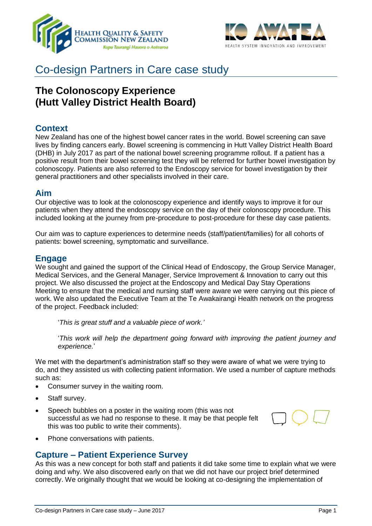



# Co-design Partners in Care case study

## **The Colonoscopy Experience (Hutt Valley District Health Board)**

## **Context**

New Zealand has one of the highest bowel cancer rates in the world. Bowel screening can save lives by finding cancers early. Bowel screening is commencing in Hutt Valley District Health Board (DHB) in July 2017 as part of the national bowel screening programme rollout. If a patient has a positive result from their bowel screening test they will be referred for further bowel investigation by colonoscopy. Patients are also referred to the Endoscopy service for bowel investigation by their general practitioners and other specialists involved in their care.

## **Aim**

Our objective was to look at the colonoscopy experience and identify ways to improve it for our patients when they attend the endoscopy service on the day of their colonoscopy procedure. This included looking at the journey from pre-procedure to post-procedure for these day case patients.

Our aim was to capture experiences to determine needs (staff/patient/families) for all cohorts of patients: bowel screening, symptomatic and surveillance.

## **Engage**

We sought and gained the support of the Clinical Head of Endoscopy, the Group Service Manager, Medical Services, and the General Manager, Service Improvement & Innovation to carry out this project. We also discussed the project at the Endoscopy and Medical Day Stay Operations Meeting to ensure that the medical and nursing staff were aware we were carrying out this piece of work. We also updated the Executive Team at the Te Awakairangi Health network on the progress of the project. Feedback included:

'*This is great stuff and a valuable piece of work.'*

'*This work will help the department going forward with improving the patient journey and experience.*'

We met with the department's administration staff so they were aware of what we were trying to do, and they assisted us with collecting patient information. We used a number of capture methods such as:

- Consumer survey in the waiting room.
- Staff survey.
- Speech bubbles on a poster in the waiting room (this was not successful as we had no response to these. It may be that people felt this was too public to write their comments).



• Phone conversations with patients.

## **Capture – Patient Experience Survey**

As this was a new concept for both staff and patients it did take some time to explain what we were doing and why. We also discovered early on that we did not have our project brief determined correctly. We originally thought that we would be looking at co-designing the implementation of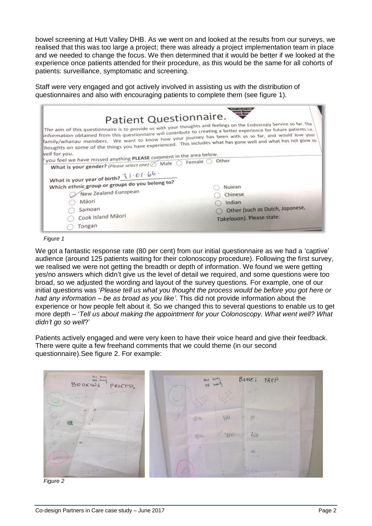bowel screening at Hutt Valley DHB. As we went on and looked at the results from our surveys, we realised that this was too large a project; there was already a project implementation team in place and we needed to change the focus. We then determined that it would be better if we looked at the experience once patients attended for their procedure, as this would be the same for all cohorts of patients: surveillance, symptomatic and screening.

Staff were very engaged and got actively involved in assisting us with the distribution of questionnaires and also with encouraging patients to complete them (see figure 1).

| Patient Questionnaire.<br>The aim of this questionnaire is to provide us with your thoughts and feelings on the Endoscopy Service so far. The                                                                                                                                                                                                  |                                 |
|------------------------------------------------------------------------------------------------------------------------------------------------------------------------------------------------------------------------------------------------------------------------------------------------------------------------------------------------|---------------------------------|
| information obtained from this questionnaire will contribute to creating a better experience for future patients i.e.<br>family/whanau members. We want to know how your journey has been with us so far, and would love your<br>houghts on some of the things you have experienced. This includes what has gone well and what has not gone so |                                 |
| vell for you.<br>you feel we have missed anything PLEASE comment in the area below.                                                                                                                                                                                                                                                            |                                 |
| What is your gender? (Please select one) $\oslash$ Male $\oslash$ Female $\oslash$                                                                                                                                                                                                                                                             | Other                           |
|                                                                                                                                                                                                                                                                                                                                                |                                 |
| What is your year of birth? $31.01.66$ .                                                                                                                                                                                                                                                                                                       |                                 |
| Which ethnic group or groups do you belong to?                                                                                                                                                                                                                                                                                                 |                                 |
|                                                                                                                                                                                                                                                                                                                                                | Nuiean                          |
| New Zealand European                                                                                                                                                                                                                                                                                                                           | Chinese                         |
| Mäori                                                                                                                                                                                                                                                                                                                                          | Indian                          |
| Samoan                                                                                                                                                                                                                                                                                                                                         | Other (such as Dutch, Japanese, |
| Cook Island Mãori                                                                                                                                                                                                                                                                                                                              | Tokelauan). Please state:       |
| Tongan                                                                                                                                                                                                                                                                                                                                         |                                 |

We got a fantastic response rate (80 per cent) from our initial questionnaire as we had a 'captive' audience (around 125 patients waiting for their colonoscopy procedure). Following the first survey, we realised we were not getting the breadth or depth of information. We found we were getting yes/no answers which didn't give us the level of detail we required, and some questions were too broad, so we adjusted the wording and layout of the survey questions. For example, one of our initial questions was '*Please tell us what you thought the process would be before you got here or had any information – be as broad as you like'*. This did not provide information about the experience or how people felt about it. So we changed this to several questions to enable us to get more depth – '*Tell us about making the appointment for your Colonoscopy. What went well? What didn't go so well*?'

Patients actively engaged and were very keen to have their voice heard and give their feedback. There were quite a few freehand comments that we could theme (in our second questionnaire).See figure 2. For example:



*Figure 2*

*Figure 1*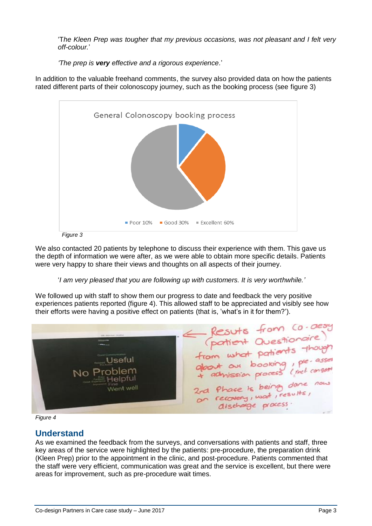'T*he Kleen Prep was tougher that my previous occasions, was not pleasant and I felt very off-colour.*'

*'The prep is very effective and a rigorous experience.*'

In addition to the valuable freehand comments, the survey also provided data on how the patients rated different parts of their colonoscopy journey, such as the booking process (see figure 3)



*Figure 3*

We also contacted 20 patients by telephone to discuss their experience with them. This gave us the depth of information we were after, as we were able to obtain more specific details. Patients were very happy to share their views and thoughts on all aspects of their journey.

#### '*I am very pleased that you are following up with customers. It is very worthwhile.'*

We followed up with staff to show them our progress to date and feedback the very positive experiences patients reported (figure 4). This allowed staff to be appreciated and visibly see how

their efforts were having a positive effect on patients (that is, 'what's in it for them?').<br>
Leader the contract of the matter of the matter of the matter of the matter of the content of the content of the content of the No Problem Helpful 2rd Phase is being dane now<br>on recovery, wat, results, Went well

## *Figure 4*

## **Understand**

As we examined the feedback from the surveys, and conversations with patients and staff, three key areas of the service were highlighted by the patients: pre-procedure, the preparation drink (Kleen Prep) prior to the appointment in the clinic, and post-procedure. Patients commented that the staff were very efficient, communication was great and the service is excellent, but there were areas for improvement, such as pre-procedure wait times.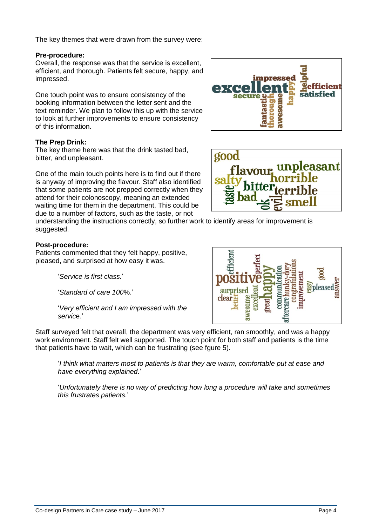The key themes that were drawn from the survey were:

#### **Pre-procedure:**

Overall, the response was that the service is excellent, efficient, and thorough. Patients felt secure, happy, and impressed.

One touch point was to ensure consistency of the booking information between the letter sent and the text reminder. We plan to follow this up with the service to look at further improvements to ensure consistency of this information.

#### **The Prep Drink:**

The key theme here was that the drink tasted bad, bitter, and unpleasant.

One of the main touch points here is to find out if there is anyway of improving the flavour. Staff also identified that some patients are not prepped correctly when they attend for their colonoscopy, meaning an extended waiting time for them in the department. This could be due to a number of factors, such as the taste, or not

understanding the instructions correctly, so further work to identify areas for improvement is suggested.

## **Post-procedure:**

Patients commented that they felt happy, positive, pleased, and surprised at how easy it was.

'*Service is first class.*'

'*Standard of care 100*%.'

'*Very efficient and I am impressed with the servic*e.'

Staff surveyed felt that overall, the department was very efficient, ran smoothly, and was a happy work environment. Staff felt well supported. The touch point for both staff and patients is the time that patients have to wait, which can be frustrating (see fgure 5).

'*I think what matters most to patients is that they are warm, comfortable put at ease and have everything explained.*'

'*Unfortunately there is no way of predicting how long a procedure will take and sometimes this frustrates patients.*'





asant

good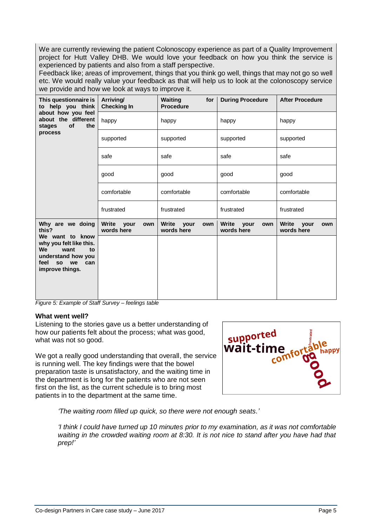We are currently reviewing the patient Colonoscopy experience as part of a Quality Improvement project for Hutt Valley DHB. We would love your feedback on how you think the service is experienced by patients and also from a staff perspective.

Feedback like; areas of improvement, things that you think go well, things that may not go so well etc. We would really value your feedback as that will help us to look at the colonoscopy service we provide and how we look at ways to improve it.

| This questionnaire is<br>to help you think<br>about how you feel<br>about the different<br>of<br>the<br>stages<br>process                                    | Arriving/<br><b>Checking In</b>           | <b>Waiting</b><br>for<br><b>Procedure</b> | <b>During Procedure</b>         | <b>After Procedure</b>          |
|--------------------------------------------------------------------------------------------------------------------------------------------------------------|-------------------------------------------|-------------------------------------------|---------------------------------|---------------------------------|
|                                                                                                                                                              | happy                                     | happy                                     | happy                           | happy                           |
|                                                                                                                                                              | supported                                 | supported                                 | supported                       | supported                       |
|                                                                                                                                                              | safe                                      | safe                                      | safe                            | safe                            |
|                                                                                                                                                              | good                                      | good                                      | good                            | good                            |
|                                                                                                                                                              | comfortable                               | comfortable                               | comfortable                     | comfortable                     |
|                                                                                                                                                              | frustrated                                | frustrated                                | frustrated                      | frustrated                      |
| Why are we doing<br>this?<br>We want to know<br>why you felt like this.<br>We<br>want<br>to<br>understand how you<br>feel<br>so we<br>can<br>improve things. | <b>Write</b><br>vour<br>own<br>words here | Write your<br>own<br>words here           | Write your<br>own<br>words here | Write your<br>own<br>words here |
|                                                                                                                                                              |                                           |                                           |                                 |                                 |

*Figure 5: Example of Staff Survey – feelings table*

#### **What went well?**

Listening to the stories gave us a better understanding of how our patients felt about the process; what was good, what was not so good.

We got a really good understanding that overall, the service is running well. The key findings were that the bowel preparation taste is unsatisfactory, and the waiting time in the department is long for the patients who are not seen first on the list, as the current schedule is to bring most patients in to the department at the same time.



*'The waiting room filled up quick, so there were not enough seats.'*

*'I think I could have turned up 10 minutes prior to my examination, as it was not comfortable waiting in the crowded waiting room at 8:30. It is not nice to stand after you have had that prep!'*